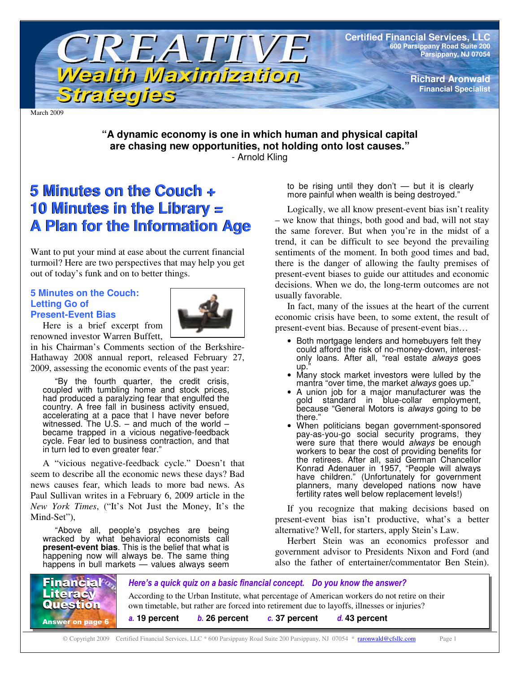

March 2009

#### **"A dynamic economy is one in which human and physical capital are chasing new opportunities, not holding onto lost causes."** - Arnold Kling

# **5 Minutes on the Couch + 5 Minutes on the Couch + 10 Minutes in the Library = 10 Minutes in the Library = A Plan for the Information Age A Plan for the Information Age**

Want to put your mind at ease about the current financial turmoil? Here are two perspectives that may help you get out of today's funk and on to better things.

#### **5 Minutes on the Couch: Letting Go of Present-Event Bias**



Here is a brief excerpt from renowned investor Warren Buffett,

in his Chairman's Comments section of the Berkshire-Hathaway 2008 annual report, released February 27, 2009, assessing the economic events of the past year:

"By the fourth quarter, the credit crisis, coupled with tumbling home and stock prices, had produced a paralyzing fear that engulfed the country. A free fall in business activity ensued, accelerating at a pace that I have never before witnessed. The U.S. – and much of the world – became trapped in a vicious negative-feedback cycle. Fear led to business contraction, and that in turn led to even greater fear."

A "vicious negative-feedback cycle." Doesn't that seem to describe all the economic news these days? Bad news causes fear, which leads to more bad news. As Paul Sullivan writes in a February 6, 2009 article in the *New York Times*, ("It's Not Just the Money, It's the Mind-Set").

"Above all, people's psyches are being wracked by what behavioral economists call **present-event bias**. This is the belief that what is happening now will always be. The same thing happens in bull markets — values always seem

to be rising until they don't  $-$  but it is clearly more painful when wealth is being destroyed."

Logically, we all know present-event bias isn't reality – we know that things, both good and bad, will not stay the same forever. But when you're in the midst of a trend, it can be difficult to see beyond the prevailing sentiments of the moment. In both good times and bad, there is the danger of allowing the faulty premises of present-event biases to guide our attitudes and economic decisions. When we do, the long-term outcomes are not usually favorable.

In fact, many of the issues at the heart of the current economic crisis have been, to some extent, the result of present-event bias. Because of present-event bias…

- Both mortgage lenders and homebuyers felt they could afford the risk of no-money-down, interestonly loans. After all, "real estate *always* goes up.
- Many stock market investors were lulled by the mantra "over time, the market *always* goes up."
- A union job for a major manufacturer was the gold standard in blue-collar employment, because "General Motors is *always* going to be there."
- When politicians began government-sponsored pay-as-you-go social security programs, they were sure that there would *always* be enough workers to bear the cost of providing benefits for the retirees. After all, said German Chancellor Konrad Adenauer in 1957, "People will always have children." (Unfortunately for government planners, many developed nations now have fertility rates well below replacement levels!)

If you recognize that making decisions based on present-event bias isn't productive, what's a better alternative? Well, for starters, apply Stein's Law.

Herbert Stein was an economics professor and government advisor to Presidents Nixon and Ford (and also the father of entertainer/commentator Ben Stein).

Here's a quick quiz on a basic financial concept. Do you know the answer? According to the Urban Institute, what percentage of American workers do not retire on their own timetable, but rather are forced into retirement due to layoffs, illnesses or injuries? **19 percent 26 percent 37 percent 43 percent Financial** Literacy Question **Answer on page 6** u.

© Copyright 2009 Certified Financial Services, LLC \* 600 Parsippany Road Suite 200 Parsippany, NJ 07054 \* raronwald@cfsllc.com Page 1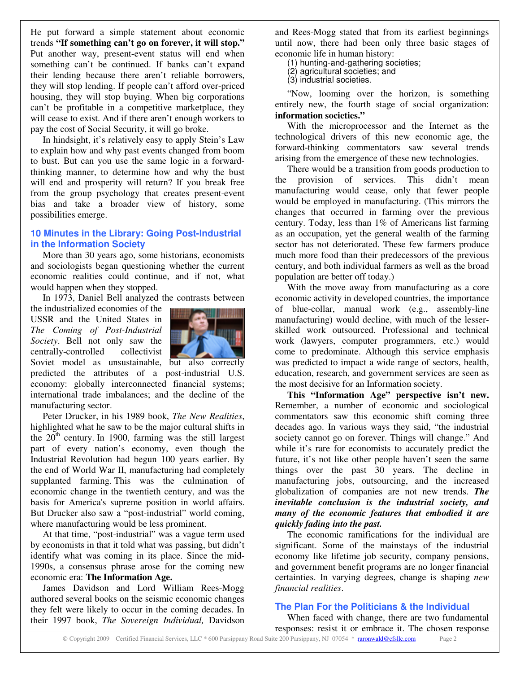He put forward a simple statement about economic trends **"If something can't go on forever, it will stop."** Put another way, present-event status will end when something can't be continued. If banks can't expand their lending because there aren't reliable borrowers, they will stop lending. If people can't afford over-priced housing, they will stop buying. When big corporations can't be profitable in a competitive marketplace, they will cease to exist. And if there aren't enough workers to pay the cost of Social Security, it will go broke.

In hindsight, it's relatively easy to apply Stein's Law to explain how and why past events changed from boom to bust. But can you use the same logic in a forwardthinking manner, to determine how and why the bust will end and prosperity will return? If you break free from the group psychology that creates present-event bias and take a broader view of history, some possibilities emerge.

#### **10 Minutes in the Library: Going Post-Industrial in the Information Society**

More than 30 years ago, some historians, economists and sociologists began questioning whether the current economic realities could continue, and if not, what would happen when they stopped.

In 1973, Daniel Bell analyzed the contrasts between

the industrialized economies of the USSR and the United States in *The Coming of Post-Industrial Society*. Bell not only saw the centrally-controlled collectivist



Soviet model as unsustainable, but also correctly predicted the attributes of a post-industrial U.S. economy: globally interconnected financial systems; international trade imbalances; and the decline of the manufacturing sector.

Peter Drucker, in his 1989 book, *The New Realities*, highlighted what he saw to be the major cultural shifts in the  $20<sup>th</sup>$  century. In 1900, farming was the still largest part of every nation's economy, even though the Industrial Revolution had begun 100 years earlier. By the end of World War II, manufacturing had completely supplanted farming. This was the culmination of economic change in the twentieth century, and was the basis for America's supreme position in world affairs. But Drucker also saw a "post-industrial" world coming, where manufacturing would be less prominent.

At that time, "post-industrial" was a vague term used by economists in that it told what was passing, but didn't identify what was coming in its place. Since the mid-1990s, a consensus phrase arose for the coming new economic era: **The Information Age.**

James Davidson and Lord William Rees-Mogg authored several books on the seismic economic changes they felt were likely to occur in the coming decades. In their 1997 book, *The Sovereign Individual,* Davidson and Rees-Mogg stated that from its earliest beginnings until now, there had been only three basic stages of economic life in human history:

(1) hunting-and-gathering societies;

(2) agricultural societies; and

(3) industrial societies.

"Now, looming over the horizon, is something entirely new, the fourth stage of social organization: **information societies."**

With the microprocessor and the Internet as the technological drivers of this new economic age, the forward-thinking commentators saw several trends arising from the emergence of these new technologies.

There would be a transition from goods production to the provision of services. This didn't mean manufacturing would cease, only that fewer people would be employed in manufacturing. (This mirrors the changes that occurred in farming over the previous century. Today, less than 1% of Americans list farming as an occupation, yet the general wealth of the farming sector has not deteriorated. These few farmers produce much more food than their predecessors of the previous century, and both individual farmers as well as the broad population are better off today.)

With the move away from manufacturing as a core economic activity in developed countries, the importance of blue-collar, manual work (e.g., assembly-line manufacturing) would decline, with much of the lesserskilled work outsourced. Professional and technical work (lawyers, computer programmers, etc.) would come to predominate. Although this service emphasis was predicted to impact a wide range of sectors, health, education, research, and government services are seen as the most decisive for an Information society.

**This "Information Age" perspective isn't new.** Remember, a number of economic and sociological commentators saw this economic shift coming three decades ago. In various ways they said, "the industrial society cannot go on forever. Things will change." And while it's rare for economists to accurately predict the future, it's not like other people haven't seen the same things over the past 30 years. The decline in manufacturing jobs, outsourcing, and the increased globalization of companies are not new trends. *The inevitable conclusion is the industrial society, and many of the economic features that embodied it are quickly fading into the past.*

The economic ramifications for the individual are significant. Some of the mainstays of the industrial economy like lifetime job security, company pensions, and government benefit programs are no longer financial certainties. In varying degrees, change is shaping *new financial realities*.

#### **The Plan For the Politicians & the Individual**

When faced with change, there are two fundamental responses: resist it or embrace it. The chosen response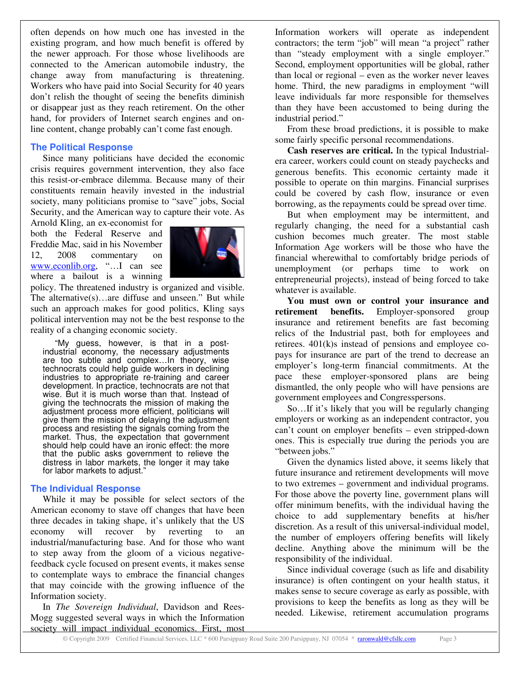often depends on how much one has invested in the existing program, and how much benefit is offered by the newer approach. For those whose livelihoods are connected to the American automobile industry, the change away from manufacturing is threatening. Workers who have paid into Social Security for 40 years don't relish the thought of seeing the benefits diminish or disappear just as they reach retirement. On the other hand, for providers of Internet search engines and online content, change probably can't come fast enough.

#### **The Political Response**

Since many politicians have decided the economic crisis requires government intervention, they also face this resist-or-embrace dilemma. Because many of their constituents remain heavily invested in the industrial society, many politicians promise to "save" jobs, Social Security, and the American way to capture their vote. As

Arnold Kling, an ex-economist for both the Federal Reserve and Freddie Mac, said in his November 12, 2008 commentary on www.econlib.org, "…I can see where a bailout is a winning



policy. The threatened industry is organized and visible. The alternative(s)…are diffuse and unseen." But while such an approach makes for good politics, Kling says political intervention may not be the best response to the reality of a changing economic society.

"My guess, however, is that in a postindustrial economy, the necessary adjustments are too subtle and complex…In theory, wise technocrats could help guide workers in declining industries to appropriate re-training and career development. In practice, technocrats are not that wise. But it is much worse than that. Instead of giving the technocrats the mission of making the adjustment process more efficient, politicians will give them the mission of delaying the adjustment process and resisting the signals coming from the market. Thus, the expectation that government should help could have an ironic effect: the more that the public asks government to relieve the distress in labor markets, the longer it may take for labor markets to adjust."

#### **The Individual Response**

While it may be possible for select sectors of the American economy to stave off changes that have been three decades in taking shape, it's unlikely that the US economy will recover by reverting to an industrial/manufacturing base. And for those who want to step away from the gloom of a vicious negativefeedback cycle focused on present events, it makes sense to contemplate ways to embrace the financial changes that may coincide with the growing influence of the Information society.

In *The Sovereign Individual*, Davidson and Rees-Mogg suggested several ways in which the Information society will impact individual economics. First, most

Information workers will operate as independent contractors; the term "job" will mean "a project" rather than "steady employment with a single employer." Second, employment opportunities will be global, rather than local or regional – even as the worker never leaves home. Third, the new paradigms in employment "will leave individuals far more responsible for themselves than they have been accustomed to being during the industrial period."

From these broad predictions, it is possible to make some fairly specific personal recommendations.

**Cash reserves are critical.** In the typical Industrialera career, workers could count on steady paychecks and generous benefits. This economic certainty made it possible to operate on thin margins. Financial surprises could be covered by cash flow, insurance or even borrowing, as the repayments could be spread over time.

But when employment may be intermittent, and regularly changing, the need for a substantial cash cushion becomes much greater. The most stable Information Age workers will be those who have the financial wherewithal to comfortably bridge periods of unemployment (or perhaps time to work on entrepreneurial projects), instead of being forced to take whatever is available.

**You must own or control your insurance and retirement benefits.** Employer-sponsored group insurance and retirement benefits are fast becoming relics of the Industrial past, both for employees and retirees. 401(k)s instead of pensions and employee copays for insurance are part of the trend to decrease an employer's long-term financial commitments. At the pace these employer-sponsored plans are being dismantled, the only people who will have pensions are government employees and Congresspersons.

So…If it's likely that you will be regularly changing employers or working as an independent contractor, you can't count on employer benefits – even stripped-down ones. This is especially true during the periods you are "between jobs."

Given the dynamics listed above, it seems likely that future insurance and retirement developments will move to two extremes – government and individual programs. For those above the poverty line, government plans will offer minimum benefits, with the individual having the choice to add supplementary benefits at his/her discretion. As a result of this universal-individual model, the number of employers offering benefits will likely decline. Anything above the minimum will be the responsibility of the individual.

Since individual coverage (such as life and disability insurance) is often contingent on your health status, it makes sense to secure coverage as early as possible, with provisions to keep the benefits as long as they will be needed. Likewise, retirement accumulation programs

© Copyright 2009 Certified Financial Services, LLC \* 600 Parsippany Road Suite 200 Parsippany, NJ 07054 \* raronwald@cfsllc.com Page 3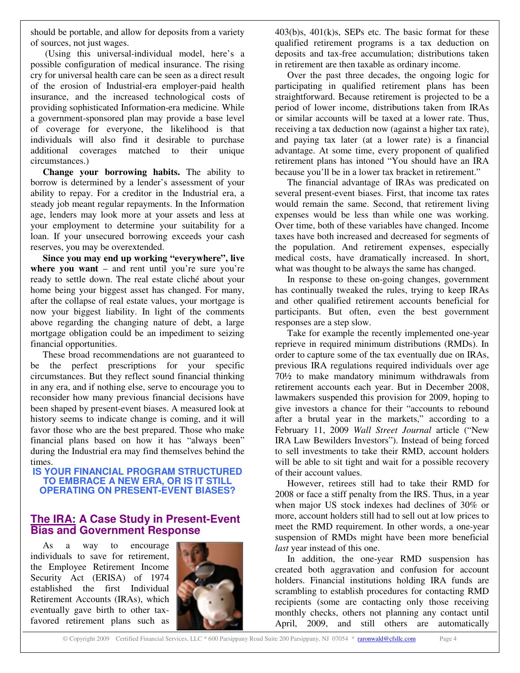should be portable, and allow for deposits from a variety of sources, not just wages.

(Using this universal-individual model, here's a possible configuration of medical insurance. The rising cry for universal health care can be seen as a direct result of the erosion of Industrial-era employer-paid health insurance, and the increased technological costs of providing sophisticated Information-era medicine. While a government-sponsored plan may provide a base level of coverage for everyone, the likelihood is that individuals will also find it desirable to purchase additional coverages matched to their unique circumstances.)

**Change your borrowing habits.** The ability to borrow is determined by a lender's assessment of your ability to repay. For a creditor in the Industrial era, a steady job meant regular repayments. In the Information age, lenders may look more at your assets and less at your employment to determine your suitability for a loan. If your unsecured borrowing exceeds your cash reserves, you may be overextended.

**Since you may end up working "everywhere", live where you want** – and rent until you're sure you're ready to settle down. The real estate cliché about your home being your biggest asset has changed. For many, after the collapse of real estate values, your mortgage is now your biggest liability. In light of the comments above regarding the changing nature of debt, a large mortgage obligation could be an impediment to seizing financial opportunities.

These broad recommendations are not guaranteed to be the perfect prescriptions for your specific circumstances. But they reflect sound financial thinking in any era, and if nothing else, serve to encourage you to reconsider how many previous financial decisions have been shaped by present-event biases. A measured look at history seems to indicate change is coming, and it will favor those who are the best prepared. Those who make financial plans based on how it has "always been" during the Industrial era may find themselves behind the times.

**IS YOUR FINANCIAL PROGRAM STRUCTURED TO EMBRACE A NEW ERA, OR IS IT STILL OPERATING ON PRESENT-EVENT BIASES?**

### **The IRA: A Case Study in Present-Event Bias and Government Response**

As a way to encourage individuals to save for retirement, the Employee Retirement Income Security Act (ERISA) of 1974 established the first Individual Retirement Accounts (IRAs), which eventually gave birth to other taxfavored retirement plans such as



 $403(b)s$ ,  $401(k)s$ , SEPs etc. The basic format for these qualified retirement programs is a tax deduction on deposits and tax-free accumulation; distributions taken in retirement are then taxable as ordinary income.

Over the past three decades, the ongoing logic for participating in qualified retirement plans has been straightforward. Because retirement is projected to be a period of lower income, distributions taken from IRAs or similar accounts will be taxed at a lower rate. Thus, receiving a tax deduction now (against a higher tax rate), and paying tax later (at a lower rate) is a financial advantage. At some time, every proponent of qualified retirement plans has intoned "You should have an IRA because you'll be in a lower tax bracket in retirement."

The financial advantage of IRAs was predicated on several present-event biases. First, that income tax rates would remain the same. Second, that retirement living expenses would be less than while one was working. Over time, both of these variables have changed. Income taxes have both increased and decreased for segments of the population. And retirement expenses, especially medical costs, have dramatically increased. In short, what was thought to be always the same has changed.

In response to these on-going changes, government has continually tweaked the rules, trying to keep IRAs and other qualified retirement accounts beneficial for participants. But often, even the best government responses are a step slow.

Take for example the recently implemented one-year reprieve in required minimum distributions (RMDs). In order to capture some of the tax eventually due on IRAs, previous IRA regulations required individuals over age 70½ to make mandatory minimum withdrawals from retirement accounts each year. But in December 2008, lawmakers suspended this provision for 2009, hoping to give investors a chance for their "accounts to rebound after a brutal year in the markets," according to a February 11, 2009 *Wall Street Journal* article ("New IRA Law Bewilders Investors"). Instead of being forced to sell investments to take their RMD, account holders will be able to sit tight and wait for a possible recovery of their account values.

However, retirees still had to take their RMD for 2008 or face a stiff penalty from the IRS. Thus, in a year when major US stock indexes had declines of 30% or more, account holders still had to sell out at low prices to meet the RMD requirement. In other words, a one-year suspension of RMDs might have been more beneficial *last* year instead of this one.

In addition, the one-year RMD suspension has created both aggravation and confusion for account holders. Financial institutions holding IRA funds are scrambling to establish procedures for contacting RMD recipients (some are contacting only those receiving monthly checks, others not planning any contact until April, 2009, and still others are automatically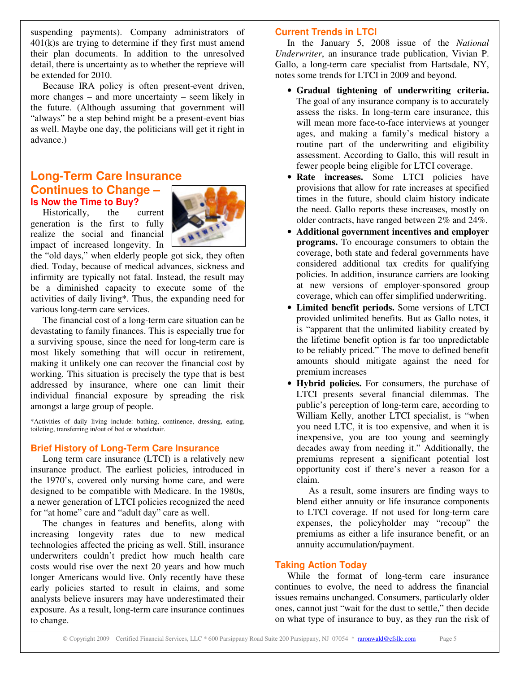suspending payments). Company administrators of 401(k)s are trying to determine if they first must amend their plan documents. In addition to the unresolved detail, there is uncertainty as to whether the reprieve will be extended for 2010.

Because IRA policy is often present-event driven, more changes – and more uncertainty – seem likely in the future. (Although assuming that government will "always" be a step behind might be a present-event bias as well. Maybe one day, the politicians will get it right in advance.)

## **Long-Term Care Insurance Continues to Change – Is Now the Time to Buy?**

Historically, the current generation is the first to fully realize the social and financial impact of increased longevity. In



the "old days," when elderly people got sick, they often died. Today, because of medical advances, sickness and infirmity are typically not fatal. Instead, the result may be a diminished capacity to execute some of the activities of daily living\*. Thus, the expanding need for various long-term care services.

The financial cost of a long-term care situation can be devastating to family finances. This is especially true for a surviving spouse, since the need for long-term care is most likely something that will occur in retirement, making it unlikely one can recover the financial cost by working. This situation is precisely the type that is best addressed by insurance, where one can limit their individual financial exposure by spreading the risk amongst a large group of people.

\*Activities of daily living include: bathing, continence, dressing, eating, toileting, transferring in/out of bed or wheelchair.

### **Brief History of Long-Term Care Insurance**

Long term care insurance (LTCI) is a relatively new insurance product. The earliest policies, introduced in the 1970's, covered only nursing home care, and were designed to be compatible with Medicare. In the 1980s, a newer generation of LTCI policies recognized the need for "at home" care and "adult day" care as well.

The changes in features and benefits, along with increasing longevity rates due to new medical technologies affected the pricing as well. Still, insurance underwriters couldn't predict how much health care costs would rise over the next 20 years and how much longer Americans would live. Only recently have these early policies started to result in claims, and some analysts believe insurers may have underestimated their exposure. As a result, long-term care insurance continues to change.

#### **Current Trends in LTCI**

In the January 5, 2008 issue of the *National Underwriter*, an insurance trade publication, Vivian P. Gallo, a long-term care specialist from Hartsdale, NY, notes some trends for LTCI in 2009 and beyond.

- **Gradual tightening of underwriting criteria.** The goal of any insurance company is to accurately assess the risks. In long-term care insurance, this will mean more face-to-face interviews at younger ages, and making a family's medical history a routine part of the underwriting and eligibility assessment. According to Gallo, this will result in fewer people being eligible for LTCI coverage.
- **Rate increases.** Some LTCI policies have provisions that allow for rate increases at specified times in the future, should claim history indicate the need. Gallo reports these increases, mostly on older contracts, have ranged between 2% and 24%.
- **Additional government incentives and employer programs.** To encourage consumers to obtain the coverage, both state and federal governments have considered additional tax credits for qualifying policies. In addition, insurance carriers are looking at new versions of employer-sponsored group coverage, which can offer simplified underwriting.
- **Limited benefit periods.** Some versions of LTCI provided unlimited benefits. But as Gallo notes, it is "apparent that the unlimited liability created by the lifetime benefit option is far too unpredictable to be reliably priced." The move to defined benefit amounts should mitigate against the need for premium increases
- **Hybrid policies.** For consumers, the purchase of LTCI presents several financial dilemmas. The public's perception of long-term care, according to William Kelly, another LTCI specialist, is "when you need LTC, it is too expensive, and when it is inexpensive, you are too young and seemingly decades away from needing it." Additionally, the premiums represent a significant potential lost opportunity cost if there's never a reason for a claim.

As a result, some insurers are finding ways to blend either annuity or life insurance components to LTCI coverage. If not used for long-term care expenses, the policyholder may "recoup" the premiums as either a life insurance benefit, or an annuity accumulation/payment.

### **Taking Action Today**

While the format of long-term care insurance continues to evolve, the need to address the financial issues remains unchanged. Consumers, particularly older ones, cannot just "wait for the dust to settle," then decide on what type of insurance to buy, as they run the risk of